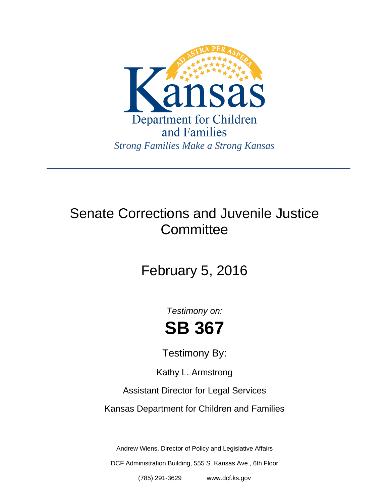

## Senate Corrections and Juvenile Justice **Committee**

# February 5, 2016

*Testimony on:* **SB 367**

Testimony By:

Kathy L. Armstrong

Assistant Director for Legal Services

Kansas Department for Children and Families

Andrew Wiens, Director of Policy and Legislative Affairs

DCF Administration Building, 555 S. Kansas Ave., 6th Floor

(785) 291-3629 www.dcf.ks.gov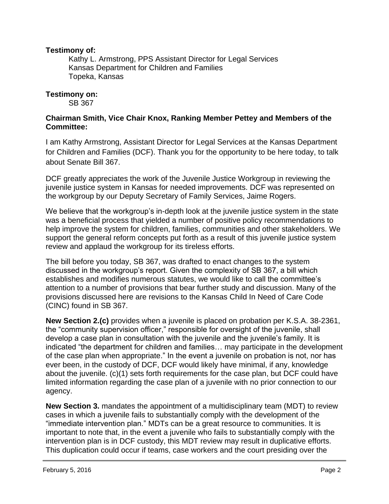#### **Testimony of:**

 Kathy L. Armstrong, PPS Assistant Director for Legal Services Kansas Department for Children and Families Topeka, Kansas

#### **Testimony on:**

SB 367

#### **Chairman Smith, Vice Chair Knox, Ranking Member Pettey and Members of the Committee:**

I am Kathy Armstrong, Assistant Director for Legal Services at the Kansas Department for Children and Families (DCF). Thank you for the opportunity to be here today, to talk about Senate Bill 367.

DCF greatly appreciates the work of the Juvenile Justice Workgroup in reviewing the juvenile justice system in Kansas for needed improvements. DCF was represented on the workgroup by our Deputy Secretary of Family Services, Jaime Rogers.

We believe that the workgroup's in-depth look at the juvenile justice system in the state was a beneficial process that yielded a number of positive policy recommendations to help improve the system for children, families, communities and other stakeholders. We support the general reform concepts put forth as a result of this juvenile justice system review and applaud the workgroup for its tireless efforts.

The bill before you today, SB 367, was drafted to enact changes to the system discussed in the workgroup's report. Given the complexity of SB 367, a bill which establishes and modifies numerous statutes, we would like to call the committee's attention to a number of provisions that bear further study and discussion. Many of the provisions discussed here are revisions to the Kansas Child In Need of Care Code (CINC) found in SB 367.

**New Section 2.(c)** provides when a juvenile is placed on probation per K.S.A. 38-2361, the "community supervision officer," responsible for oversight of the juvenile, shall develop a case plan in consultation with the juvenile and the juvenile's family. It is indicated "the department for children and families… may participate in the development of the case plan when appropriate." In the event a juvenile on probation is not, nor has ever been, in the custody of DCF, DCF would likely have minimal, if any, knowledge about the juvenile. (c)(1) sets forth requirements for the case plan, but DCF could have limited information regarding the case plan of a juvenile with no prior connection to our agency.

**New Section 3.** mandates the appointment of a multidisciplinary team (MDT) to review cases in which a juvenile fails to substantially comply with the development of the "immediate intervention plan." MDTs can be a great resource to communities. It is important to note that, in the event a juvenile who fails to substantially comply with the intervention plan is in DCF custody, this MDT review may result in duplicative efforts. This duplication could occur if teams, case workers and the court presiding over the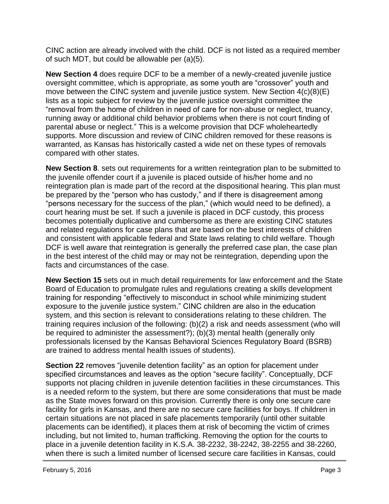CINC action are already involved with the child. DCF is not listed as a required member of such MDT, but could be allowable per (a)(5).

**New Section 4** does require DCF to be a member of a newly-created juvenile justice oversight committee, which is appropriate, as some youth are "crossover" youth and move between the CINC system and juvenile justice system. New Section 4(c)(8)(E) lists as a topic subject for review by the juvenile justice oversight committee the "removal from the home of children in need of care for non-abuse or neglect, truancy, running away or additional child behavior problems when there is not court finding of parental abuse or neglect." This is a welcome provision that DCF wholeheartedly supports. More discussion and review of CINC children removed for these reasons is warranted, as Kansas has historically casted a wide net on these types of removals compared with other states.

**New Section 8**. sets out requirements for a written reintegration plan to be submitted to the juvenile offender court if a juvenile is placed outside of his/her home and no reintegration plan is made part of the record at the dispositional hearing. This plan must be prepared by the "person who has custody," and if there is disagreement among "persons necessary for the success of the plan," (which would need to be defined), a court hearing must be set. If such a juvenile is placed in DCF custody, this process becomes potentially duplicative and cumbersome as there are existing CINC statutes and related regulations for case plans that are based on the best interests of children and consistent with applicable federal and State laws relating to child welfare. Though DCF is well aware that reintegration is generally the preferred case plan, the case plan in the best interest of the child may or may not be reintegration, depending upon the facts and circumstances of the case.

**New Section 15** sets out in much detail requirements for law enforcement and the State Board of Education to promulgate rules and regulations creating a skills development training for responding "effectively to misconduct in school while minimizing student exposure to the juvenile justice system." CINC children are also in the education system, and this section is relevant to considerations relating to these children. The training requires inclusion of the following: (b)(2) a risk and needs assessment (who will be required to administer the assessment?); (b)(3) mental health (generally only professionals licensed by the Kansas Behavioral Sciences Regulatory Board (BSRB) are trained to address mental health issues of students).

**Section 22** removes "juvenile detention facility" as an option for placement under specified circumstances and leaves as the option "secure facility". Conceptually, DCF supports not placing children in juvenile detention facilities in these circumstances. This is a needed reform to the system, but there are some considerations that must be made as the State moves forward on this provision. Currently there is only one secure care facility for girls in Kansas, and there are no secure care facilities for boys. If children in certain situations are not placed in safe placements temporarily (until other suitable placements can be identified), it places them at risk of becoming the victim of crimes including, but not limited to, human trafficking. Removing the option for the courts to place in a juvenile detention facility in K.S.A. 38-2232, 38-2242, 38-2255 and 38-2260, when there is such a limited number of licensed secure care facilities in Kansas, could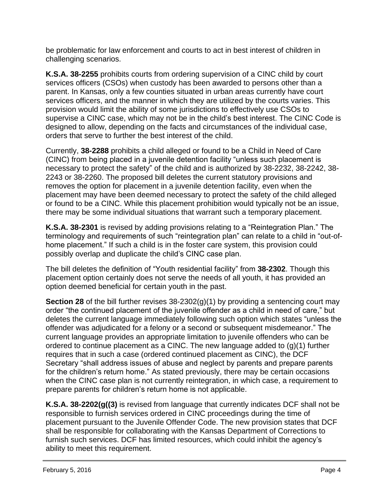be problematic for law enforcement and courts to act in best interest of children in challenging scenarios.

**K.S.A. 38-2255** prohibits courts from ordering supervision of a CINC child by court services officers (CSOs) when custody has been awarded to persons other than a parent. In Kansas, only a few counties situated in urban areas currently have court services officers, and the manner in which they are utilized by the courts varies. This provision would limit the ability of some jurisdictions to effectively use CSOs to supervise a CINC case, which may not be in the child's best interest. The CINC Code is designed to allow, depending on the facts and circumstances of the individual case, orders that serve to further the best interest of the child.

Currently, **38-2288** prohibits a child alleged or found to be a Child in Need of Care (CINC) from being placed in a juvenile detention facility "unless such placement is necessary to protect the safety" of the child and is authorized by 38-2232, 38-2242, 38- 2243 or 38-2260. The proposed bill deletes the current statutory provisions and removes the option for placement in a juvenile detention facility, even when the placement may have been deemed necessary to protect the safety of the child alleged or found to be a CINC. While this placement prohibition would typically not be an issue, there may be some individual situations that warrant such a temporary placement.

**K.S.A. 38-2301** is revised by adding provisions relating to a "Reintegration Plan." The terminology and requirements of such "reintegration plan" can relate to a child in "out-ofhome placement." If such a child is in the foster care system, this provision could possibly overlap and duplicate the child's CINC case plan.

The bill deletes the definition of "Youth residential facility" from **38-2302**. Though this placement option certainly does not serve the needs of all youth, it has provided an option deemed beneficial for certain youth in the past.

**Section 28** of the bill further revises 38-2302(g)(1) by providing a sentencing court may order "the continued placement of the juvenile offender as a child in need of care," but deletes the current language immediately following such option which states "unless the offender was adjudicated for a felony or a second or subsequent misdemeanor." The current language provides an appropriate limitation to juvenile offenders who can be ordered to continue placement as a CINC. The new language added to  $(g)(1)$  further requires that in such a case (ordered continued placement as CINC), the DCF Secretary "shall address issues of abuse and neglect by parents and prepare parents for the children's return home." As stated previously, there may be certain occasions when the CINC case plan is not currently reintegration, in which case, a requirement to prepare parents for children's return home is not applicable.

**K.S.A. 38-2202(g((3)** is revised from language that currently indicates DCF shall not be responsible to furnish services ordered in CINC proceedings during the time of placement pursuant to the Juvenile Offender Code. The new provision states that DCF shall be responsible for collaborating with the Kansas Department of Corrections to furnish such services. DCF has limited resources, which could inhibit the agency's ability to meet this requirement.